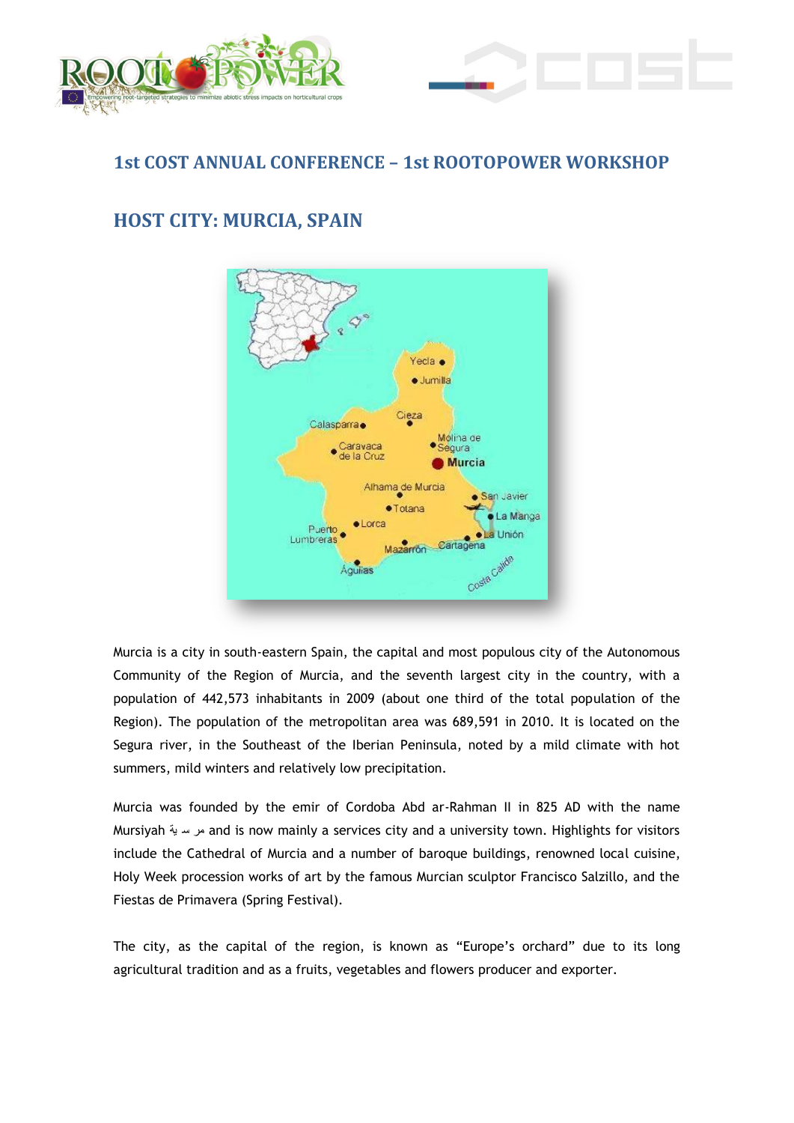



## **1st COST ANNUAL CONFERENCE – 1st ROOTOPOWER WORKSHOP**

# **HOST CITY: MURCIA, SPAIN**



Murcia is a city in south-eastern Spain, the capital and most populous city of the Autonomous Community of the Region of Murcia, and the seventh largest city in the country, with a population of 442,573 inhabitants in 2009 (about one third of the total population of the Region). The population of the metropolitan area was 689,591 in 2010. It is located on the Segura river, in the Southeast of the Iberian Peninsula, noted by a mild climate with hot summers, mild winters and relatively low precipitation.

Murcia was founded by the emir of Cordoba Abd ar-Rahman II in 825 AD with the name Mursiyah ية س مر and is now mainly a services city and a university town. Highlights for visitors include the Cathedral of Murcia and a number of baroque buildings, renowned local cuisine, Holy Week procession works of art by the famous Murcian sculptor Francisco Salzillo, and the Fiestas de Primavera (Spring Festival).

The city, as the capital of the region, is known as "Europe's orchard" due to its long agricultural tradition and as a fruits, vegetables and flowers producer and exporter.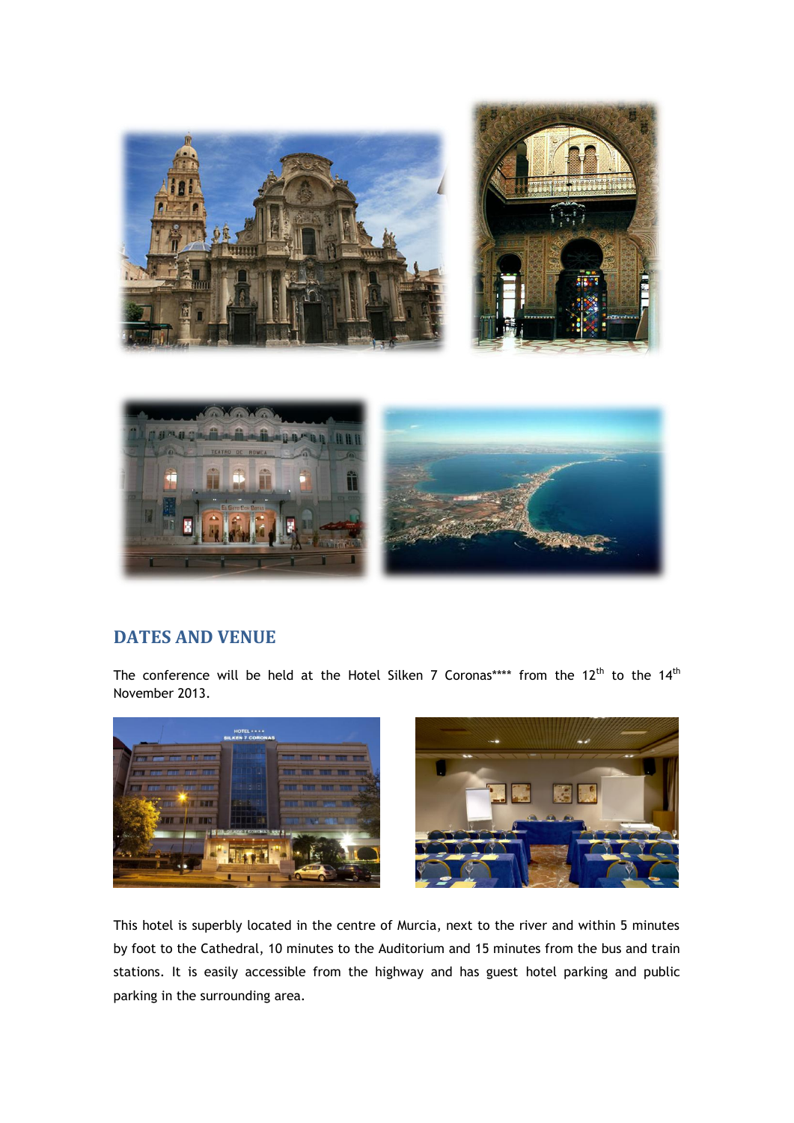



### **DATES AND VENUE**

The conference will be held at the Hotel Silken 7 Coronas\*\*\*\* from the  $12^{\text{th}}$  to the  $14^{\text{th}}$ November 2013.





This hotel is superbly located in the centre of Murcia, next to the river and within 5 minutes by foot to the Cathedral, 10 minutes to the Auditorium and 15 minutes from the bus and train stations. It is easily accessible from the highway and has guest hotel parking and public parking in the surrounding area.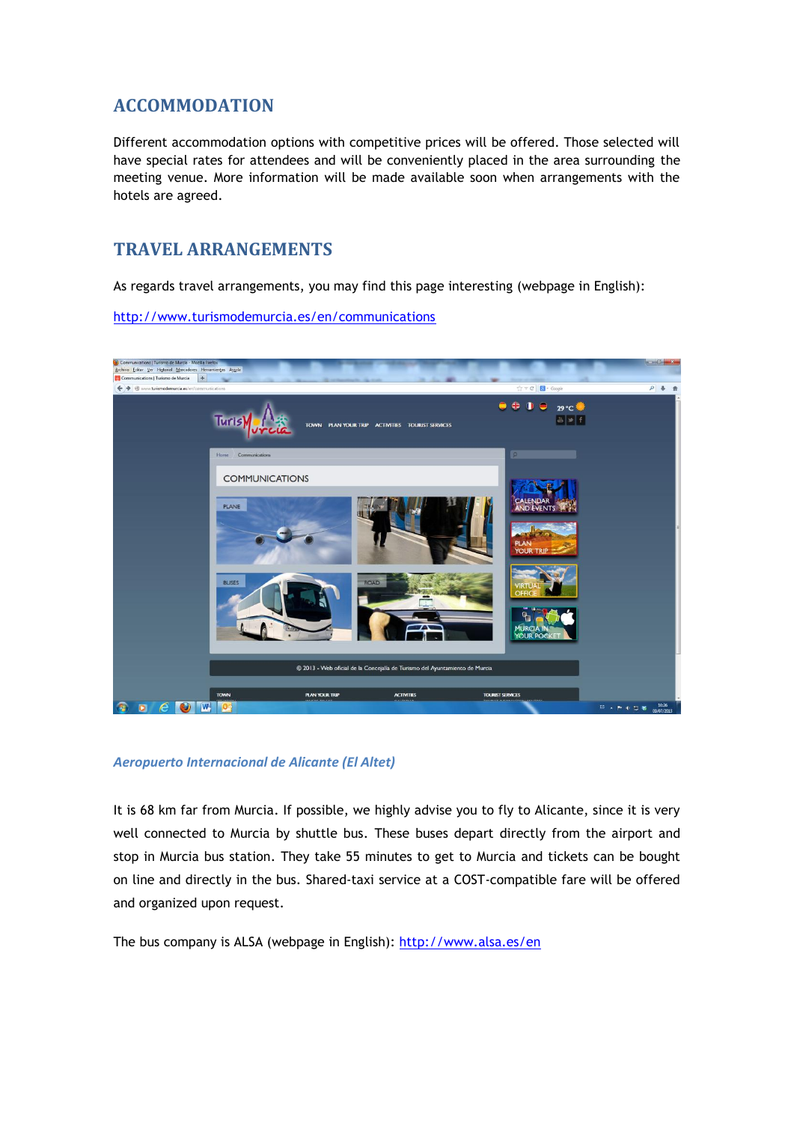## **ACCOMMODATION**

Different accommodation options with competitive prices will be offered. Those selected will have special rates for attendees and will be conveniently placed in the area surrounding the meeting venue. More information will be made available soon when arrangements with the hotels are agreed.

## **TRAVEL ARRANGEMENTS**

As regards travel arrangements, you may find this page interesting (webpage in English):

<http://www.turismodemurcia.es/en/communications>



### *Aeropuerto Internacional de Alicante (El Altet)*

It is 68 km far from Murcia. If possible, we highly advise you to fly to Alicante, since it is very well connected to Murcia by shuttle bus. These buses depart directly from the airport and stop in Murcia bus station. They take 55 minutes to get to Murcia and tickets can be bought on line and directly in the bus. Shared-taxi service at a COST-compatible fare will be offered and organized upon request.

The bus company is ALSA (webpage in English): <http://www.alsa.es/en>